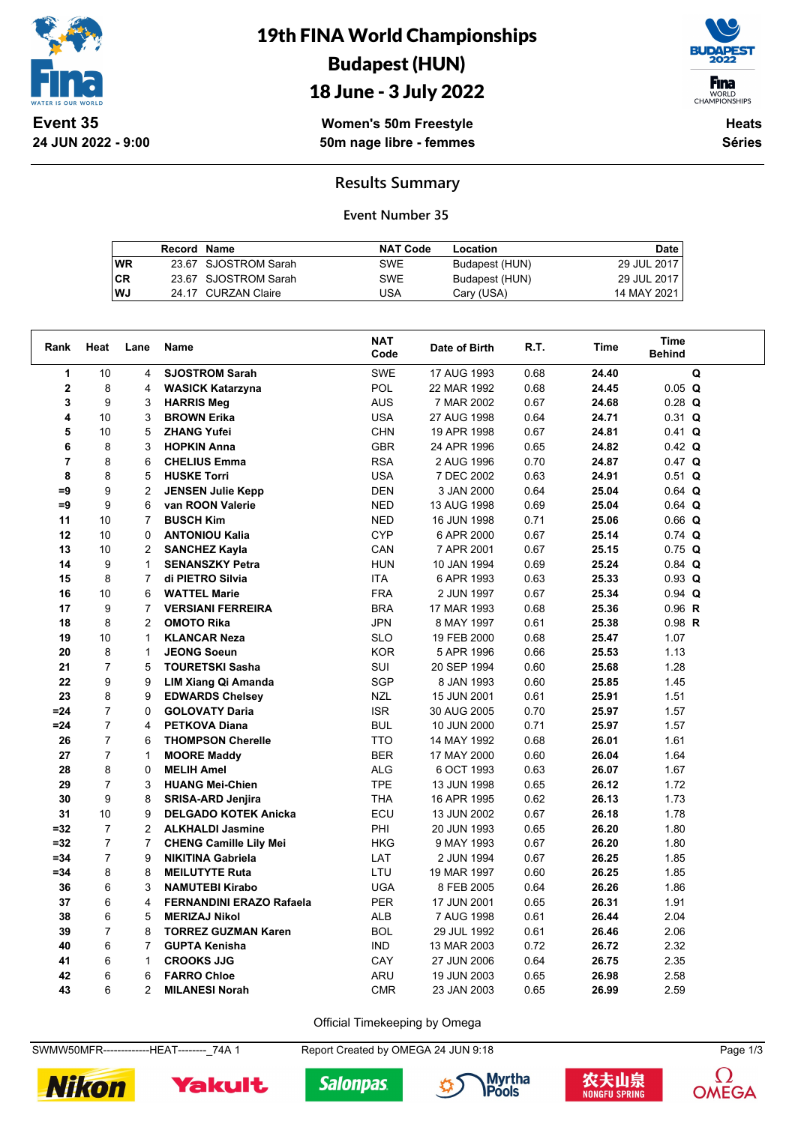

# 19th FINA World Championships Budapest (HUN)



## 18 June - 3 July 2022

**Women's 50m Freestyle 50m nage libre - femmes**

**Heats Séries**

### **Results Summary**

#### **Event Number 35**

|           | Record Name |                      | <b>NAT Code</b> | Location       | Date        |
|-----------|-------------|----------------------|-----------------|----------------|-------------|
| <b>WR</b> |             | 23.67 SJOSTROM Sarah | SWE             | Budapest (HUN) | 29 JUL 2017 |
| <b>CR</b> |             | 23.67 SJOSTROM Sarah | <b>SWE</b>      | Budapest (HUN) | 29 JUL 2017 |
| WJ        |             | 24.17 CURZAN Claire  | USA             | Cary (USA)     | 14 MAY 2021 |

| Rank                    | Heat           | Lane           | <b>Name</b>                     | <b>NAT</b><br>Code | Date of Birth | R.T. | Time  | <b>Time</b><br><b>Behind</b> |  |
|-------------------------|----------------|----------------|---------------------------------|--------------------|---------------|------|-------|------------------------------|--|
| 1                       | 10             | 4              | <b>SJOSTROM Sarah</b>           | <b>SWE</b>         | 17 AUG 1993   | 0.68 | 24.40 | Q                            |  |
| $\bf{2}$                | 8              | 4              | <b>WASICK Katarzyna</b>         | <b>POL</b>         | 22 MAR 1992   | 0.68 | 24.45 | $0.05$ Q                     |  |
| 3                       | 9              | 3              | <b>HARRIS Meg</b>               | <b>AUS</b>         | 7 MAR 2002    | 0.67 | 24.68 | $0.28$ Q                     |  |
| 4                       | 10             | 3              | <b>BROWN Erika</b>              | <b>USA</b>         | 27 AUG 1998   | 0.64 | 24.71 | $0.31$ Q                     |  |
| 5                       | 10             | 5              | <b>ZHANG Yufei</b>              | <b>CHN</b>         | 19 APR 1998   | 0.67 | 24.81 | $0.41$ Q                     |  |
| 6                       | 8              | 3              | <b>HOPKIN Anna</b>              | <b>GBR</b>         | 24 APR 1996   | 0.65 | 24.82 | $0.42$ Q                     |  |
| $\overline{\mathbf{r}}$ | 8              | 6              | <b>CHELIUS Emma</b>             | <b>RSA</b>         | 2 AUG 1996    | 0.70 | 24.87 | $0.47$ Q                     |  |
| 8                       | 8              | 5              | <b>HUSKE Torri</b>              | <b>USA</b>         | 7 DEC 2002    | 0.63 | 24.91 | $0.51$ Q                     |  |
| =9                      | 9              | 2              | <b>JENSEN Julie Kepp</b>        | <b>DEN</b>         | 3 JAN 2000    | 0.64 | 25.04 | $0.64$ Q                     |  |
| $=9$                    | 9              | 6              | van ROON Valerie                | <b>NED</b>         | 13 AUG 1998   | 0.69 | 25.04 | $0.64$ Q                     |  |
| 11                      | 10             | $\overline{7}$ | <b>BUSCH Kim</b>                | <b>NED</b>         | 16 JUN 1998   | 0.71 | 25.06 | $0.66$ Q                     |  |
| 12                      | 10             | 0              | <b>ANTONIOU Kalia</b>           | <b>CYP</b>         | 6 APR 2000    | 0.67 | 25.14 | $0.74$ Q                     |  |
| 13                      | 10             | 2              | <b>SANCHEZ Kayla</b>            | CAN                | 7 APR 2001    | 0.67 | 25.15 | $0.75$ Q                     |  |
| 14                      | 9              | 1              | <b>SENANSZKY Petra</b>          | <b>HUN</b>         | 10 JAN 1994   | 0.69 | 25.24 | $0.84$ Q                     |  |
| 15                      | 8              | $\overline{7}$ | di PIETRO Silvia                | <b>ITA</b>         | 6 APR 1993    | 0.63 | 25.33 | $0.93$ Q                     |  |
| 16                      | 10             | 6              | <b>WATTEL Marie</b>             | <b>FRA</b>         | 2 JUN 1997    | 0.67 | 25.34 | $0.94$ Q                     |  |
| 17                      | 9              | 7              | <b>VERSIANI FERREIRA</b>        | <b>BRA</b>         | 17 MAR 1993   | 0.68 | 25.36 | $0.96$ R                     |  |
| 18                      | 8              | $\overline{2}$ | <b>OMOTO Rika</b>               | <b>JPN</b>         | 8 MAY 1997    | 0.61 | 25.38 | $0.98$ R                     |  |
| 19                      | 10             | $\mathbf{1}$   | <b>KLANCAR Neza</b>             | <b>SLO</b>         | 19 FEB 2000   | 0.68 | 25.47 | 1.07                         |  |
| 20                      | 8              | 1              | <b>JEONG Soeun</b>              | <b>KOR</b>         | 5 APR 1996    | 0.66 | 25.53 | 1.13                         |  |
| 21                      | $\overline{7}$ | 5              | <b>TOURETSKI Sasha</b>          | SUI                | 20 SEP 1994   | 0.60 | 25.68 | 1.28                         |  |
| 22                      | 9              | 9              | <b>LIM Xiang Qi Amanda</b>      | SGP                | 8 JAN 1993    | 0.60 | 25.85 | 1.45                         |  |
| 23                      | 8              | 9              | <b>EDWARDS Chelsey</b>          | <b>NZL</b>         | 15 JUN 2001   | 0.61 | 25.91 | 1.51                         |  |
| $= 24$                  | $\overline{7}$ | $\Omega$       | <b>GOLOVATY Daria</b>           | <b>ISR</b>         | 30 AUG 2005   | 0.70 | 25.97 | 1.57                         |  |
| $= 24$                  | $\overline{7}$ | 4              | <b>PETKOVA Diana</b>            | <b>BUL</b>         | 10 JUN 2000   | 0.71 | 25.97 | 1.57                         |  |
| 26                      | $\overline{7}$ | 6              | <b>THOMPSON Cherelle</b>        | <b>TTO</b>         | 14 MAY 1992   | 0.68 | 26.01 | 1.61                         |  |
| 27                      | $\overline{7}$ | $\mathbf{1}$   | <b>MOORE Maddy</b>              | <b>BER</b>         | 17 MAY 2000   | 0.60 | 26.04 | 1.64                         |  |
| 28                      | 8              | 0              | <b>MELIH Amel</b>               | <b>ALG</b>         | 6 OCT 1993    | 0.63 | 26.07 | 1.67                         |  |
| 29                      | $\overline{7}$ | 3              | <b>HUANG Mei-Chien</b>          | <b>TPE</b>         | 13 JUN 1998   | 0.65 | 26.12 | 1.72                         |  |
| 30                      | 9              | 8              | <b>SRISA-ARD Jenjira</b>        | <b>THA</b>         | 16 APR 1995   | 0.62 | 26.13 | 1.73                         |  |
| 31                      | 10             | 9              | <b>DELGADO KOTEK Anicka</b>     | ECU                | 13 JUN 2002   | 0.67 | 26.18 | 1.78                         |  |
| $= 32$                  | $\overline{7}$ | $\overline{2}$ | <b>ALKHALDI Jasmine</b>         | PHI                | 20 JUN 1993   | 0.65 | 26.20 | 1.80                         |  |
| $= 32$                  | $\overline{7}$ | $\overline{7}$ | <b>CHENG Camille Lily Mei</b>   | <b>HKG</b>         | 9 MAY 1993    | 0.67 | 26.20 | 1.80                         |  |
| $= 34$                  | $\overline{7}$ | 9              | <b>NIKITINA Gabriela</b>        | LAT                | 2 JUN 1994    | 0.67 | 26.25 | 1.85                         |  |
| $= 34$                  | 8              | 8              | <b>MEILUTYTE Ruta</b>           | LTU                | 19 MAR 1997   | 0.60 | 26.25 | 1.85                         |  |
| 36                      | 6              | 3              | <b>NAMUTEBI Kirabo</b>          | <b>UGA</b>         | 8 FEB 2005    | 0.64 | 26.26 | 1.86                         |  |
| 37                      | 6              | 4              | <b>FERNANDINI ERAZO Rafaela</b> | <b>PER</b>         | 17 JUN 2001   | 0.65 | 26.31 | 1.91                         |  |
| 38                      | 6              | 5              | <b>MERIZAJ Nikol</b>            | <b>ALB</b>         | 7 AUG 1998    | 0.61 | 26.44 | 2.04                         |  |
| 39                      | $\overline{7}$ | 8              | <b>TORREZ GUZMAN Karen</b>      | <b>BOL</b>         | 29 JUL 1992   | 0.61 | 26.46 | 2.06                         |  |
| 40                      | 6              | $\overline{7}$ | <b>GUPTA Kenisha</b>            | <b>IND</b>         | 13 MAR 2003   | 0.72 | 26.72 | 2.32                         |  |
| 41                      | 6              | $\mathbf{1}$   | <b>CROOKS JJG</b>               | CAY                | 27 JUN 2006   | 0.64 | 26.75 | 2.35                         |  |
| 42                      | 6              | 6              | <b>FARRO Chloe</b>              | <b>ARU</b>         | 19 JUN 2003   | 0.65 | 26.98 | 2.58                         |  |
| 43                      | 6              | $\overline{2}$ | <b>MILANESI Norah</b>           | <b>CMR</b>         | 23 JAN 2003   | 0.65 | 26.99 | 2.59                         |  |

Official Timekeeping by Omega

SWMW50MFR--------------HEAT--------\_74A 1 Report Created by OMEGA 24 JUN 9:18 Page 1/3









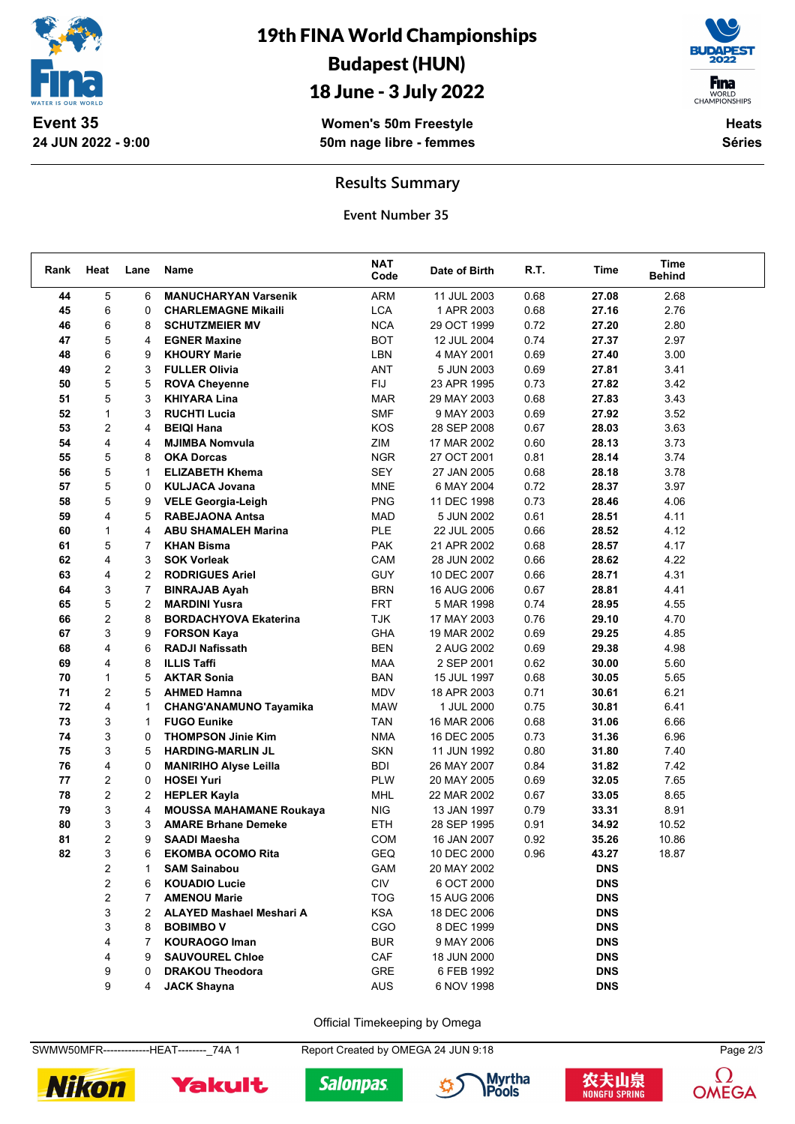

# 19th FINA World Championships Budapest (HUN)

## 18 June - 3 July 2022

**Women's 50m Freestyle 50m nage libre - femmes**



**Heats Séries**

#### **Results Summary**

**Event Number 35**

| ARM<br>5<br>2.68<br>44<br>6<br><b>MANUCHARYAN Varsenik</b><br>11 JUL 2003<br>0.68<br>27.08<br><b>LCA</b><br>45<br>6<br>0.68<br>2.76<br>$\Omega$<br><b>CHARLEMAGNE Mikaili</b><br>1 APR 2003<br>27.16<br>46<br>6<br><b>NCA</b><br>0.72<br>2.80<br>8<br><b>SCHUTZMEIER MV</b><br>29 OCT 1999<br>27.20<br>5<br>47<br><b>BOT</b><br>0.74<br>2.97<br>4<br><b>EGNER Maxine</b><br>12 JUL 2004<br>27.37<br>48<br>6<br>LBN<br>0.69<br>3.00<br>9<br><b>KHOURY Marie</b><br>4 MAY 2001<br>27.40<br>2<br>49<br>ANT<br>0.69<br>27.81<br>3.41<br>3<br><b>FULLER Olivia</b><br>5 JUN 2003<br>5<br>50<br><b>FIJ</b><br>0.73<br>3.42<br>5<br><b>ROVA Cheyenne</b><br>23 APR 1995<br>27.82<br>5<br>51<br>0.68<br>3.43<br>3<br><b>KHIYARA Lina</b><br><b>MAR</b><br>29 MAY 2003<br>27.83<br>52<br>$\mathbf{1}$<br>3<br><b>RUCHTI Lucia</b><br><b>SMF</b><br>0.69<br>3.52<br>9 MAY 2003<br>27.92<br>2<br>53<br>KOS<br>0.67<br>3.63<br>4<br><b>BEIQI Hana</b><br>28 SEP 2008<br>28.03<br>4<br>ZIM<br>3.73<br>54<br><b>MJIMBA Nomvula</b><br>17 MAR 2002<br>0.60<br>28.13<br>4<br>55<br>5<br><b>NGR</b><br>0.81<br>28.14<br>3.74<br>8<br><b>OKA Dorcas</b><br>27 OCT 2001<br>5<br>56<br><b>SEY</b><br>0.68<br>3.78<br><b>ELIZABETH Khema</b><br>28.18<br>1<br>27 JAN 2005<br>5<br>57<br>$\Omega$<br><b>KULJACA Jovana</b><br><b>MNE</b><br>6 MAY 2004<br>0.72<br>28.37<br>3.97<br>5<br>58<br><b>PNG</b><br>11 DEC 1998<br>0.73<br>28.46<br>4.06<br>9<br><b>VELE Georgia-Leigh</b><br>4<br>59<br>5<br><b>MAD</b><br>0.61<br>28.51<br>4.11<br><b>RABEJAONA Antsa</b><br>5 JUN 2002<br>60<br>$\mathbf{1}$<br><b>PLE</b><br>0.66<br>4.12<br>4<br><b>ABU SHAMALEH Marina</b><br>22 JUL 2005<br>28.52<br>61<br>5<br><b>PAK</b><br>0.68<br>28.57<br>4.17<br>$\overline{7}$<br><b>KHAN Bisma</b><br>21 APR 2002<br>4<br>62<br>CAM<br>0.66<br>28.62<br>4.22<br>3<br><b>SOK Vorleak</b><br>28 JUN 2002<br>63<br>4<br><b>GUY</b><br>0.66<br>4.31<br>2<br><b>RODRIGUES Ariel</b><br>10 DEC 2007<br>28.71<br>64<br>3<br>$\overline{7}$<br><b>BRN</b><br>0.67<br>28.81<br>4.41<br><b>BINRAJAB Ayah</b><br>16 AUG 2006<br>5<br>65<br>$\overline{2}$<br><b>FRT</b><br>0.74<br>4.55<br><b>MARDINI Yusra</b><br>5 MAR 1998<br>28.95<br>2<br>66<br><b>TJK</b><br>4.70<br>8<br><b>BORDACHYOVA Ekaterina</b><br>17 MAY 2003<br>0.76<br>29.10<br>3<br>67<br>GHA<br>0.69<br>29.25<br>4.85<br>9<br><b>FORSON Kaya</b><br>19 MAR 2002<br>68<br>4<br><b>BEN</b><br>0.69<br>29.38<br>4.98<br>6<br><b>RADJI Nafissath</b><br>2 AUG 2002<br>69<br>4<br><b>MAA</b><br>0.62<br>8<br><b>ILLIS Taffi</b><br>2 SEP 2001<br>30.00<br>5.60<br>70<br>$\mathbf{1}$<br><b>BAN</b><br>0.68<br>5.65<br>5<br><b>AKTAR Sonia</b><br>15 JUL 1997<br>30.05<br>2<br>MDV<br>71<br>0.71<br>6.21<br>5<br><b>AHMED Hamna</b><br>18 APR 2003<br>30.61<br>72<br>4<br>6.41<br>$\mathbf{1}$<br><b>CHANG'ANAMUNO Tayamika</b><br><b>MAW</b><br>1 JUL 2000<br>0.75<br>30.81<br>73<br>3<br><b>FUGO Eunike</b><br>0.68<br>6.66<br><b>TAN</b><br>16 MAR 2006<br>31.06<br>1<br>3<br>74<br><b>NMA</b><br>0.73<br>6.96<br><b>THOMPSON Jinie Kim</b><br>16 DEC 2005<br>31.36<br>0<br>3<br><b>SKN</b><br>75<br>5<br><b>HARDING-MARLIN JL</b><br>11 JUN 1992<br>0.80<br>31.80<br>7.40<br>4<br>76<br><b>BDI</b><br>0.84<br>7.42<br>0<br>26 MAY 2007<br>31.82<br><b>MANIRIHO Alyse Leilla</b><br>2<br>77<br>0<br>PLW<br>7.65<br><b>HOSEI Yuri</b><br>20 MAY 2005<br>0.69<br>32.05<br>2<br>78<br>2<br><b>HEPLER Kayla</b><br>MHL<br>22 MAR 2002<br>0.67<br>33.05<br>8.65<br>3<br>79<br>8.91<br><b>MOUSSA MAHAMANE Roukaya</b><br><b>NIG</b><br>0.79<br>33.31<br>4<br>13 JAN 1997<br>3<br>80<br><b>AMARE Brhane Demeke</b><br><b>ETH</b><br>28 SEP 1995<br>0.91<br>34.92<br>10.52<br>3<br>$\overline{2}$<br>81<br>9<br><b>SAADI Maesha</b><br><b>COM</b><br>0.92<br>35.26<br>10.86<br>16 JAN 2007<br>3<br><b>EKOMBA OCOMO Rita</b><br>GEQ<br>10 DEC 2000<br>6<br>0.96<br>18.87<br>82<br>43.27<br>2<br><b>GAM</b><br>20 MAY 2002<br><b>DNS</b><br><b>SAM Sainabou</b><br>1<br>$\overline{c}$<br>CIV<br>6<br><b>KOUADIO Lucie</b><br>6 OCT 2000<br><b>DNS</b><br>2<br><b>AMENOU Marie</b><br><b>TOG</b><br><b>DNS</b><br>7<br>15 AUG 2006<br>3<br><b>ALAYED Mashael Meshari A</b><br><b>KSA</b><br>18 DEC 2006<br><b>DNS</b><br>2<br>3<br>CGO<br><b>BOBIMBO V</b><br>8 DEC 1999<br><b>DNS</b><br>8<br>4<br><b>BUR</b><br><b>DNS</b><br><b>KOURAOGO Iman</b><br>9 MAY 2006<br>7<br>4<br>CAF<br><b>DNS</b><br><b>SAUVOUREL Chloe</b><br>18 JUN 2000<br>9<br>GRE<br><b>DNS</b><br>9<br><b>DRAKOU Theodora</b><br>6 FEB 1992<br>0 | Rank | Heat | Lane | Name               | <b>NAT</b><br>Code | Date of Birth | R.T. | Time       | <b>Time</b><br><b>Behind</b> |  |
|-----------------------------------------------------------------------------------------------------------------------------------------------------------------------------------------------------------------------------------------------------------------------------------------------------------------------------------------------------------------------------------------------------------------------------------------------------------------------------------------------------------------------------------------------------------------------------------------------------------------------------------------------------------------------------------------------------------------------------------------------------------------------------------------------------------------------------------------------------------------------------------------------------------------------------------------------------------------------------------------------------------------------------------------------------------------------------------------------------------------------------------------------------------------------------------------------------------------------------------------------------------------------------------------------------------------------------------------------------------------------------------------------------------------------------------------------------------------------------------------------------------------------------------------------------------------------------------------------------------------------------------------------------------------------------------------------------------------------------------------------------------------------------------------------------------------------------------------------------------------------------------------------------------------------------------------------------------------------------------------------------------------------------------------------------------------------------------------------------------------------------------------------------------------------------------------------------------------------------------------------------------------------------------------------------------------------------------------------------------------------------------------------------------------------------------------------------------------------------------------------------------------------------------------------------------------------------------------------------------------------------------------------------------------------------------------------------------------------------------------------------------------------------------------------------------------------------------------------------------------------------------------------------------------------------------------------------------------------------------------------------------------------------------------------------------------------------------------------------------------------------------------------------------------------------------------------------------------------------------------------------------------------------------------------------------------------------------------------------------------------------------------------------------------------------------------------------------------------------------------------------------------------------------------------------------------------------------------------------------------------------------------------------------------------------------------------------------------------------------------------------------------------------------------------------------------------------------------------------------------------------------------------------------------------------------------------------------------------------------------------------------------------------------------------------------------------------------------------------------------------------------------------------------------------------------------------------------------------------------------------------------------------------------------------------------------------------------------------------------------------------------------------------------------------------------------------------------------------------------------------------------------------------------|------|------|------|--------------------|--------------------|---------------|------|------------|------------------------------|--|
|                                                                                                                                                                                                                                                                                                                                                                                                                                                                                                                                                                                                                                                                                                                                                                                                                                                                                                                                                                                                                                                                                                                                                                                                                                                                                                                                                                                                                                                                                                                                                                                                                                                                                                                                                                                                                                                                                                                                                                                                                                                                                                                                                                                                                                                                                                                                                                                                                                                                                                                                                                                                                                                                                                                                                                                                                                                                                                                                                                                                                                                                                                                                                                                                                                                                                                                                                                                                                                                                                                                                                                                                                                                                                                                                                                                                                                                                                                                                                                                                                                                                                                                                                                                                                                                                                                                                                                                                                                                                                                                                   |      |      |      |                    |                    |               |      |            |                              |  |
|                                                                                                                                                                                                                                                                                                                                                                                                                                                                                                                                                                                                                                                                                                                                                                                                                                                                                                                                                                                                                                                                                                                                                                                                                                                                                                                                                                                                                                                                                                                                                                                                                                                                                                                                                                                                                                                                                                                                                                                                                                                                                                                                                                                                                                                                                                                                                                                                                                                                                                                                                                                                                                                                                                                                                                                                                                                                                                                                                                                                                                                                                                                                                                                                                                                                                                                                                                                                                                                                                                                                                                                                                                                                                                                                                                                                                                                                                                                                                                                                                                                                                                                                                                                                                                                                                                                                                                                                                                                                                                                                   |      |      |      |                    |                    |               |      |            |                              |  |
|                                                                                                                                                                                                                                                                                                                                                                                                                                                                                                                                                                                                                                                                                                                                                                                                                                                                                                                                                                                                                                                                                                                                                                                                                                                                                                                                                                                                                                                                                                                                                                                                                                                                                                                                                                                                                                                                                                                                                                                                                                                                                                                                                                                                                                                                                                                                                                                                                                                                                                                                                                                                                                                                                                                                                                                                                                                                                                                                                                                                                                                                                                                                                                                                                                                                                                                                                                                                                                                                                                                                                                                                                                                                                                                                                                                                                                                                                                                                                                                                                                                                                                                                                                                                                                                                                                                                                                                                                                                                                                                                   |      |      |      |                    |                    |               |      |            |                              |  |
|                                                                                                                                                                                                                                                                                                                                                                                                                                                                                                                                                                                                                                                                                                                                                                                                                                                                                                                                                                                                                                                                                                                                                                                                                                                                                                                                                                                                                                                                                                                                                                                                                                                                                                                                                                                                                                                                                                                                                                                                                                                                                                                                                                                                                                                                                                                                                                                                                                                                                                                                                                                                                                                                                                                                                                                                                                                                                                                                                                                                                                                                                                                                                                                                                                                                                                                                                                                                                                                                                                                                                                                                                                                                                                                                                                                                                                                                                                                                                                                                                                                                                                                                                                                                                                                                                                                                                                                                                                                                                                                                   |      |      |      |                    |                    |               |      |            |                              |  |
|                                                                                                                                                                                                                                                                                                                                                                                                                                                                                                                                                                                                                                                                                                                                                                                                                                                                                                                                                                                                                                                                                                                                                                                                                                                                                                                                                                                                                                                                                                                                                                                                                                                                                                                                                                                                                                                                                                                                                                                                                                                                                                                                                                                                                                                                                                                                                                                                                                                                                                                                                                                                                                                                                                                                                                                                                                                                                                                                                                                                                                                                                                                                                                                                                                                                                                                                                                                                                                                                                                                                                                                                                                                                                                                                                                                                                                                                                                                                                                                                                                                                                                                                                                                                                                                                                                                                                                                                                                                                                                                                   |      |      |      |                    |                    |               |      |            |                              |  |
|                                                                                                                                                                                                                                                                                                                                                                                                                                                                                                                                                                                                                                                                                                                                                                                                                                                                                                                                                                                                                                                                                                                                                                                                                                                                                                                                                                                                                                                                                                                                                                                                                                                                                                                                                                                                                                                                                                                                                                                                                                                                                                                                                                                                                                                                                                                                                                                                                                                                                                                                                                                                                                                                                                                                                                                                                                                                                                                                                                                                                                                                                                                                                                                                                                                                                                                                                                                                                                                                                                                                                                                                                                                                                                                                                                                                                                                                                                                                                                                                                                                                                                                                                                                                                                                                                                                                                                                                                                                                                                                                   |      |      |      |                    |                    |               |      |            |                              |  |
|                                                                                                                                                                                                                                                                                                                                                                                                                                                                                                                                                                                                                                                                                                                                                                                                                                                                                                                                                                                                                                                                                                                                                                                                                                                                                                                                                                                                                                                                                                                                                                                                                                                                                                                                                                                                                                                                                                                                                                                                                                                                                                                                                                                                                                                                                                                                                                                                                                                                                                                                                                                                                                                                                                                                                                                                                                                                                                                                                                                                                                                                                                                                                                                                                                                                                                                                                                                                                                                                                                                                                                                                                                                                                                                                                                                                                                                                                                                                                                                                                                                                                                                                                                                                                                                                                                                                                                                                                                                                                                                                   |      |      |      |                    |                    |               |      |            |                              |  |
|                                                                                                                                                                                                                                                                                                                                                                                                                                                                                                                                                                                                                                                                                                                                                                                                                                                                                                                                                                                                                                                                                                                                                                                                                                                                                                                                                                                                                                                                                                                                                                                                                                                                                                                                                                                                                                                                                                                                                                                                                                                                                                                                                                                                                                                                                                                                                                                                                                                                                                                                                                                                                                                                                                                                                                                                                                                                                                                                                                                                                                                                                                                                                                                                                                                                                                                                                                                                                                                                                                                                                                                                                                                                                                                                                                                                                                                                                                                                                                                                                                                                                                                                                                                                                                                                                                                                                                                                                                                                                                                                   |      |      |      |                    |                    |               |      |            |                              |  |
|                                                                                                                                                                                                                                                                                                                                                                                                                                                                                                                                                                                                                                                                                                                                                                                                                                                                                                                                                                                                                                                                                                                                                                                                                                                                                                                                                                                                                                                                                                                                                                                                                                                                                                                                                                                                                                                                                                                                                                                                                                                                                                                                                                                                                                                                                                                                                                                                                                                                                                                                                                                                                                                                                                                                                                                                                                                                                                                                                                                                                                                                                                                                                                                                                                                                                                                                                                                                                                                                                                                                                                                                                                                                                                                                                                                                                                                                                                                                                                                                                                                                                                                                                                                                                                                                                                                                                                                                                                                                                                                                   |      |      |      |                    |                    |               |      |            |                              |  |
|                                                                                                                                                                                                                                                                                                                                                                                                                                                                                                                                                                                                                                                                                                                                                                                                                                                                                                                                                                                                                                                                                                                                                                                                                                                                                                                                                                                                                                                                                                                                                                                                                                                                                                                                                                                                                                                                                                                                                                                                                                                                                                                                                                                                                                                                                                                                                                                                                                                                                                                                                                                                                                                                                                                                                                                                                                                                                                                                                                                                                                                                                                                                                                                                                                                                                                                                                                                                                                                                                                                                                                                                                                                                                                                                                                                                                                                                                                                                                                                                                                                                                                                                                                                                                                                                                                                                                                                                                                                                                                                                   |      |      |      |                    |                    |               |      |            |                              |  |
|                                                                                                                                                                                                                                                                                                                                                                                                                                                                                                                                                                                                                                                                                                                                                                                                                                                                                                                                                                                                                                                                                                                                                                                                                                                                                                                                                                                                                                                                                                                                                                                                                                                                                                                                                                                                                                                                                                                                                                                                                                                                                                                                                                                                                                                                                                                                                                                                                                                                                                                                                                                                                                                                                                                                                                                                                                                                                                                                                                                                                                                                                                                                                                                                                                                                                                                                                                                                                                                                                                                                                                                                                                                                                                                                                                                                                                                                                                                                                                                                                                                                                                                                                                                                                                                                                                                                                                                                                                                                                                                                   |      |      |      |                    |                    |               |      |            |                              |  |
|                                                                                                                                                                                                                                                                                                                                                                                                                                                                                                                                                                                                                                                                                                                                                                                                                                                                                                                                                                                                                                                                                                                                                                                                                                                                                                                                                                                                                                                                                                                                                                                                                                                                                                                                                                                                                                                                                                                                                                                                                                                                                                                                                                                                                                                                                                                                                                                                                                                                                                                                                                                                                                                                                                                                                                                                                                                                                                                                                                                                                                                                                                                                                                                                                                                                                                                                                                                                                                                                                                                                                                                                                                                                                                                                                                                                                                                                                                                                                                                                                                                                                                                                                                                                                                                                                                                                                                                                                                                                                                                                   |      |      |      |                    |                    |               |      |            |                              |  |
|                                                                                                                                                                                                                                                                                                                                                                                                                                                                                                                                                                                                                                                                                                                                                                                                                                                                                                                                                                                                                                                                                                                                                                                                                                                                                                                                                                                                                                                                                                                                                                                                                                                                                                                                                                                                                                                                                                                                                                                                                                                                                                                                                                                                                                                                                                                                                                                                                                                                                                                                                                                                                                                                                                                                                                                                                                                                                                                                                                                                                                                                                                                                                                                                                                                                                                                                                                                                                                                                                                                                                                                                                                                                                                                                                                                                                                                                                                                                                                                                                                                                                                                                                                                                                                                                                                                                                                                                                                                                                                                                   |      |      |      |                    |                    |               |      |            |                              |  |
|                                                                                                                                                                                                                                                                                                                                                                                                                                                                                                                                                                                                                                                                                                                                                                                                                                                                                                                                                                                                                                                                                                                                                                                                                                                                                                                                                                                                                                                                                                                                                                                                                                                                                                                                                                                                                                                                                                                                                                                                                                                                                                                                                                                                                                                                                                                                                                                                                                                                                                                                                                                                                                                                                                                                                                                                                                                                                                                                                                                                                                                                                                                                                                                                                                                                                                                                                                                                                                                                                                                                                                                                                                                                                                                                                                                                                                                                                                                                                                                                                                                                                                                                                                                                                                                                                                                                                                                                                                                                                                                                   |      |      |      |                    |                    |               |      |            |                              |  |
|                                                                                                                                                                                                                                                                                                                                                                                                                                                                                                                                                                                                                                                                                                                                                                                                                                                                                                                                                                                                                                                                                                                                                                                                                                                                                                                                                                                                                                                                                                                                                                                                                                                                                                                                                                                                                                                                                                                                                                                                                                                                                                                                                                                                                                                                                                                                                                                                                                                                                                                                                                                                                                                                                                                                                                                                                                                                                                                                                                                                                                                                                                                                                                                                                                                                                                                                                                                                                                                                                                                                                                                                                                                                                                                                                                                                                                                                                                                                                                                                                                                                                                                                                                                                                                                                                                                                                                                                                                                                                                                                   |      |      |      |                    |                    |               |      |            |                              |  |
|                                                                                                                                                                                                                                                                                                                                                                                                                                                                                                                                                                                                                                                                                                                                                                                                                                                                                                                                                                                                                                                                                                                                                                                                                                                                                                                                                                                                                                                                                                                                                                                                                                                                                                                                                                                                                                                                                                                                                                                                                                                                                                                                                                                                                                                                                                                                                                                                                                                                                                                                                                                                                                                                                                                                                                                                                                                                                                                                                                                                                                                                                                                                                                                                                                                                                                                                                                                                                                                                                                                                                                                                                                                                                                                                                                                                                                                                                                                                                                                                                                                                                                                                                                                                                                                                                                                                                                                                                                                                                                                                   |      |      |      |                    |                    |               |      |            |                              |  |
|                                                                                                                                                                                                                                                                                                                                                                                                                                                                                                                                                                                                                                                                                                                                                                                                                                                                                                                                                                                                                                                                                                                                                                                                                                                                                                                                                                                                                                                                                                                                                                                                                                                                                                                                                                                                                                                                                                                                                                                                                                                                                                                                                                                                                                                                                                                                                                                                                                                                                                                                                                                                                                                                                                                                                                                                                                                                                                                                                                                                                                                                                                                                                                                                                                                                                                                                                                                                                                                                                                                                                                                                                                                                                                                                                                                                                                                                                                                                                                                                                                                                                                                                                                                                                                                                                                                                                                                                                                                                                                                                   |      |      |      |                    |                    |               |      |            |                              |  |
|                                                                                                                                                                                                                                                                                                                                                                                                                                                                                                                                                                                                                                                                                                                                                                                                                                                                                                                                                                                                                                                                                                                                                                                                                                                                                                                                                                                                                                                                                                                                                                                                                                                                                                                                                                                                                                                                                                                                                                                                                                                                                                                                                                                                                                                                                                                                                                                                                                                                                                                                                                                                                                                                                                                                                                                                                                                                                                                                                                                                                                                                                                                                                                                                                                                                                                                                                                                                                                                                                                                                                                                                                                                                                                                                                                                                                                                                                                                                                                                                                                                                                                                                                                                                                                                                                                                                                                                                                                                                                                                                   |      |      |      |                    |                    |               |      |            |                              |  |
|                                                                                                                                                                                                                                                                                                                                                                                                                                                                                                                                                                                                                                                                                                                                                                                                                                                                                                                                                                                                                                                                                                                                                                                                                                                                                                                                                                                                                                                                                                                                                                                                                                                                                                                                                                                                                                                                                                                                                                                                                                                                                                                                                                                                                                                                                                                                                                                                                                                                                                                                                                                                                                                                                                                                                                                                                                                                                                                                                                                                                                                                                                                                                                                                                                                                                                                                                                                                                                                                                                                                                                                                                                                                                                                                                                                                                                                                                                                                                                                                                                                                                                                                                                                                                                                                                                                                                                                                                                                                                                                                   |      |      |      |                    |                    |               |      |            |                              |  |
|                                                                                                                                                                                                                                                                                                                                                                                                                                                                                                                                                                                                                                                                                                                                                                                                                                                                                                                                                                                                                                                                                                                                                                                                                                                                                                                                                                                                                                                                                                                                                                                                                                                                                                                                                                                                                                                                                                                                                                                                                                                                                                                                                                                                                                                                                                                                                                                                                                                                                                                                                                                                                                                                                                                                                                                                                                                                                                                                                                                                                                                                                                                                                                                                                                                                                                                                                                                                                                                                                                                                                                                                                                                                                                                                                                                                                                                                                                                                                                                                                                                                                                                                                                                                                                                                                                                                                                                                                                                                                                                                   |      |      |      |                    |                    |               |      |            |                              |  |
|                                                                                                                                                                                                                                                                                                                                                                                                                                                                                                                                                                                                                                                                                                                                                                                                                                                                                                                                                                                                                                                                                                                                                                                                                                                                                                                                                                                                                                                                                                                                                                                                                                                                                                                                                                                                                                                                                                                                                                                                                                                                                                                                                                                                                                                                                                                                                                                                                                                                                                                                                                                                                                                                                                                                                                                                                                                                                                                                                                                                                                                                                                                                                                                                                                                                                                                                                                                                                                                                                                                                                                                                                                                                                                                                                                                                                                                                                                                                                                                                                                                                                                                                                                                                                                                                                                                                                                                                                                                                                                                                   |      |      |      |                    |                    |               |      |            |                              |  |
|                                                                                                                                                                                                                                                                                                                                                                                                                                                                                                                                                                                                                                                                                                                                                                                                                                                                                                                                                                                                                                                                                                                                                                                                                                                                                                                                                                                                                                                                                                                                                                                                                                                                                                                                                                                                                                                                                                                                                                                                                                                                                                                                                                                                                                                                                                                                                                                                                                                                                                                                                                                                                                                                                                                                                                                                                                                                                                                                                                                                                                                                                                                                                                                                                                                                                                                                                                                                                                                                                                                                                                                                                                                                                                                                                                                                                                                                                                                                                                                                                                                                                                                                                                                                                                                                                                                                                                                                                                                                                                                                   |      |      |      |                    |                    |               |      |            |                              |  |
|                                                                                                                                                                                                                                                                                                                                                                                                                                                                                                                                                                                                                                                                                                                                                                                                                                                                                                                                                                                                                                                                                                                                                                                                                                                                                                                                                                                                                                                                                                                                                                                                                                                                                                                                                                                                                                                                                                                                                                                                                                                                                                                                                                                                                                                                                                                                                                                                                                                                                                                                                                                                                                                                                                                                                                                                                                                                                                                                                                                                                                                                                                                                                                                                                                                                                                                                                                                                                                                                                                                                                                                                                                                                                                                                                                                                                                                                                                                                                                                                                                                                                                                                                                                                                                                                                                                                                                                                                                                                                                                                   |      |      |      |                    |                    |               |      |            |                              |  |
|                                                                                                                                                                                                                                                                                                                                                                                                                                                                                                                                                                                                                                                                                                                                                                                                                                                                                                                                                                                                                                                                                                                                                                                                                                                                                                                                                                                                                                                                                                                                                                                                                                                                                                                                                                                                                                                                                                                                                                                                                                                                                                                                                                                                                                                                                                                                                                                                                                                                                                                                                                                                                                                                                                                                                                                                                                                                                                                                                                                                                                                                                                                                                                                                                                                                                                                                                                                                                                                                                                                                                                                                                                                                                                                                                                                                                                                                                                                                                                                                                                                                                                                                                                                                                                                                                                                                                                                                                                                                                                                                   |      |      |      |                    |                    |               |      |            |                              |  |
|                                                                                                                                                                                                                                                                                                                                                                                                                                                                                                                                                                                                                                                                                                                                                                                                                                                                                                                                                                                                                                                                                                                                                                                                                                                                                                                                                                                                                                                                                                                                                                                                                                                                                                                                                                                                                                                                                                                                                                                                                                                                                                                                                                                                                                                                                                                                                                                                                                                                                                                                                                                                                                                                                                                                                                                                                                                                                                                                                                                                                                                                                                                                                                                                                                                                                                                                                                                                                                                                                                                                                                                                                                                                                                                                                                                                                                                                                                                                                                                                                                                                                                                                                                                                                                                                                                                                                                                                                                                                                                                                   |      |      |      |                    |                    |               |      |            |                              |  |
|                                                                                                                                                                                                                                                                                                                                                                                                                                                                                                                                                                                                                                                                                                                                                                                                                                                                                                                                                                                                                                                                                                                                                                                                                                                                                                                                                                                                                                                                                                                                                                                                                                                                                                                                                                                                                                                                                                                                                                                                                                                                                                                                                                                                                                                                                                                                                                                                                                                                                                                                                                                                                                                                                                                                                                                                                                                                                                                                                                                                                                                                                                                                                                                                                                                                                                                                                                                                                                                                                                                                                                                                                                                                                                                                                                                                                                                                                                                                                                                                                                                                                                                                                                                                                                                                                                                                                                                                                                                                                                                                   |      |      |      |                    |                    |               |      |            |                              |  |
|                                                                                                                                                                                                                                                                                                                                                                                                                                                                                                                                                                                                                                                                                                                                                                                                                                                                                                                                                                                                                                                                                                                                                                                                                                                                                                                                                                                                                                                                                                                                                                                                                                                                                                                                                                                                                                                                                                                                                                                                                                                                                                                                                                                                                                                                                                                                                                                                                                                                                                                                                                                                                                                                                                                                                                                                                                                                                                                                                                                                                                                                                                                                                                                                                                                                                                                                                                                                                                                                                                                                                                                                                                                                                                                                                                                                                                                                                                                                                                                                                                                                                                                                                                                                                                                                                                                                                                                                                                                                                                                                   |      |      |      |                    |                    |               |      |            |                              |  |
|                                                                                                                                                                                                                                                                                                                                                                                                                                                                                                                                                                                                                                                                                                                                                                                                                                                                                                                                                                                                                                                                                                                                                                                                                                                                                                                                                                                                                                                                                                                                                                                                                                                                                                                                                                                                                                                                                                                                                                                                                                                                                                                                                                                                                                                                                                                                                                                                                                                                                                                                                                                                                                                                                                                                                                                                                                                                                                                                                                                                                                                                                                                                                                                                                                                                                                                                                                                                                                                                                                                                                                                                                                                                                                                                                                                                                                                                                                                                                                                                                                                                                                                                                                                                                                                                                                                                                                                                                                                                                                                                   |      |      |      |                    |                    |               |      |            |                              |  |
|                                                                                                                                                                                                                                                                                                                                                                                                                                                                                                                                                                                                                                                                                                                                                                                                                                                                                                                                                                                                                                                                                                                                                                                                                                                                                                                                                                                                                                                                                                                                                                                                                                                                                                                                                                                                                                                                                                                                                                                                                                                                                                                                                                                                                                                                                                                                                                                                                                                                                                                                                                                                                                                                                                                                                                                                                                                                                                                                                                                                                                                                                                                                                                                                                                                                                                                                                                                                                                                                                                                                                                                                                                                                                                                                                                                                                                                                                                                                                                                                                                                                                                                                                                                                                                                                                                                                                                                                                                                                                                                                   |      |      |      |                    |                    |               |      |            |                              |  |
|                                                                                                                                                                                                                                                                                                                                                                                                                                                                                                                                                                                                                                                                                                                                                                                                                                                                                                                                                                                                                                                                                                                                                                                                                                                                                                                                                                                                                                                                                                                                                                                                                                                                                                                                                                                                                                                                                                                                                                                                                                                                                                                                                                                                                                                                                                                                                                                                                                                                                                                                                                                                                                                                                                                                                                                                                                                                                                                                                                                                                                                                                                                                                                                                                                                                                                                                                                                                                                                                                                                                                                                                                                                                                                                                                                                                                                                                                                                                                                                                                                                                                                                                                                                                                                                                                                                                                                                                                                                                                                                                   |      |      |      |                    |                    |               |      |            |                              |  |
|                                                                                                                                                                                                                                                                                                                                                                                                                                                                                                                                                                                                                                                                                                                                                                                                                                                                                                                                                                                                                                                                                                                                                                                                                                                                                                                                                                                                                                                                                                                                                                                                                                                                                                                                                                                                                                                                                                                                                                                                                                                                                                                                                                                                                                                                                                                                                                                                                                                                                                                                                                                                                                                                                                                                                                                                                                                                                                                                                                                                                                                                                                                                                                                                                                                                                                                                                                                                                                                                                                                                                                                                                                                                                                                                                                                                                                                                                                                                                                                                                                                                                                                                                                                                                                                                                                                                                                                                                                                                                                                                   |      |      |      |                    |                    |               |      |            |                              |  |
|                                                                                                                                                                                                                                                                                                                                                                                                                                                                                                                                                                                                                                                                                                                                                                                                                                                                                                                                                                                                                                                                                                                                                                                                                                                                                                                                                                                                                                                                                                                                                                                                                                                                                                                                                                                                                                                                                                                                                                                                                                                                                                                                                                                                                                                                                                                                                                                                                                                                                                                                                                                                                                                                                                                                                                                                                                                                                                                                                                                                                                                                                                                                                                                                                                                                                                                                                                                                                                                                                                                                                                                                                                                                                                                                                                                                                                                                                                                                                                                                                                                                                                                                                                                                                                                                                                                                                                                                                                                                                                                                   |      |      |      |                    |                    |               |      |            |                              |  |
|                                                                                                                                                                                                                                                                                                                                                                                                                                                                                                                                                                                                                                                                                                                                                                                                                                                                                                                                                                                                                                                                                                                                                                                                                                                                                                                                                                                                                                                                                                                                                                                                                                                                                                                                                                                                                                                                                                                                                                                                                                                                                                                                                                                                                                                                                                                                                                                                                                                                                                                                                                                                                                                                                                                                                                                                                                                                                                                                                                                                                                                                                                                                                                                                                                                                                                                                                                                                                                                                                                                                                                                                                                                                                                                                                                                                                                                                                                                                                                                                                                                                                                                                                                                                                                                                                                                                                                                                                                                                                                                                   |      |      |      |                    |                    |               |      |            |                              |  |
|                                                                                                                                                                                                                                                                                                                                                                                                                                                                                                                                                                                                                                                                                                                                                                                                                                                                                                                                                                                                                                                                                                                                                                                                                                                                                                                                                                                                                                                                                                                                                                                                                                                                                                                                                                                                                                                                                                                                                                                                                                                                                                                                                                                                                                                                                                                                                                                                                                                                                                                                                                                                                                                                                                                                                                                                                                                                                                                                                                                                                                                                                                                                                                                                                                                                                                                                                                                                                                                                                                                                                                                                                                                                                                                                                                                                                                                                                                                                                                                                                                                                                                                                                                                                                                                                                                                                                                                                                                                                                                                                   |      |      |      |                    |                    |               |      |            |                              |  |
|                                                                                                                                                                                                                                                                                                                                                                                                                                                                                                                                                                                                                                                                                                                                                                                                                                                                                                                                                                                                                                                                                                                                                                                                                                                                                                                                                                                                                                                                                                                                                                                                                                                                                                                                                                                                                                                                                                                                                                                                                                                                                                                                                                                                                                                                                                                                                                                                                                                                                                                                                                                                                                                                                                                                                                                                                                                                                                                                                                                                                                                                                                                                                                                                                                                                                                                                                                                                                                                                                                                                                                                                                                                                                                                                                                                                                                                                                                                                                                                                                                                                                                                                                                                                                                                                                                                                                                                                                                                                                                                                   |      |      |      |                    |                    |               |      |            |                              |  |
|                                                                                                                                                                                                                                                                                                                                                                                                                                                                                                                                                                                                                                                                                                                                                                                                                                                                                                                                                                                                                                                                                                                                                                                                                                                                                                                                                                                                                                                                                                                                                                                                                                                                                                                                                                                                                                                                                                                                                                                                                                                                                                                                                                                                                                                                                                                                                                                                                                                                                                                                                                                                                                                                                                                                                                                                                                                                                                                                                                                                                                                                                                                                                                                                                                                                                                                                                                                                                                                                                                                                                                                                                                                                                                                                                                                                                                                                                                                                                                                                                                                                                                                                                                                                                                                                                                                                                                                                                                                                                                                                   |      |      |      |                    |                    |               |      |            |                              |  |
|                                                                                                                                                                                                                                                                                                                                                                                                                                                                                                                                                                                                                                                                                                                                                                                                                                                                                                                                                                                                                                                                                                                                                                                                                                                                                                                                                                                                                                                                                                                                                                                                                                                                                                                                                                                                                                                                                                                                                                                                                                                                                                                                                                                                                                                                                                                                                                                                                                                                                                                                                                                                                                                                                                                                                                                                                                                                                                                                                                                                                                                                                                                                                                                                                                                                                                                                                                                                                                                                                                                                                                                                                                                                                                                                                                                                                                                                                                                                                                                                                                                                                                                                                                                                                                                                                                                                                                                                                                                                                                                                   |      |      |      |                    |                    |               |      |            |                              |  |
|                                                                                                                                                                                                                                                                                                                                                                                                                                                                                                                                                                                                                                                                                                                                                                                                                                                                                                                                                                                                                                                                                                                                                                                                                                                                                                                                                                                                                                                                                                                                                                                                                                                                                                                                                                                                                                                                                                                                                                                                                                                                                                                                                                                                                                                                                                                                                                                                                                                                                                                                                                                                                                                                                                                                                                                                                                                                                                                                                                                                                                                                                                                                                                                                                                                                                                                                                                                                                                                                                                                                                                                                                                                                                                                                                                                                                                                                                                                                                                                                                                                                                                                                                                                                                                                                                                                                                                                                                                                                                                                                   |      |      |      |                    |                    |               |      |            |                              |  |
|                                                                                                                                                                                                                                                                                                                                                                                                                                                                                                                                                                                                                                                                                                                                                                                                                                                                                                                                                                                                                                                                                                                                                                                                                                                                                                                                                                                                                                                                                                                                                                                                                                                                                                                                                                                                                                                                                                                                                                                                                                                                                                                                                                                                                                                                                                                                                                                                                                                                                                                                                                                                                                                                                                                                                                                                                                                                                                                                                                                                                                                                                                                                                                                                                                                                                                                                                                                                                                                                                                                                                                                                                                                                                                                                                                                                                                                                                                                                                                                                                                                                                                                                                                                                                                                                                                                                                                                                                                                                                                                                   |      |      |      |                    |                    |               |      |            |                              |  |
|                                                                                                                                                                                                                                                                                                                                                                                                                                                                                                                                                                                                                                                                                                                                                                                                                                                                                                                                                                                                                                                                                                                                                                                                                                                                                                                                                                                                                                                                                                                                                                                                                                                                                                                                                                                                                                                                                                                                                                                                                                                                                                                                                                                                                                                                                                                                                                                                                                                                                                                                                                                                                                                                                                                                                                                                                                                                                                                                                                                                                                                                                                                                                                                                                                                                                                                                                                                                                                                                                                                                                                                                                                                                                                                                                                                                                                                                                                                                                                                                                                                                                                                                                                                                                                                                                                                                                                                                                                                                                                                                   |      |      |      |                    |                    |               |      |            |                              |  |
|                                                                                                                                                                                                                                                                                                                                                                                                                                                                                                                                                                                                                                                                                                                                                                                                                                                                                                                                                                                                                                                                                                                                                                                                                                                                                                                                                                                                                                                                                                                                                                                                                                                                                                                                                                                                                                                                                                                                                                                                                                                                                                                                                                                                                                                                                                                                                                                                                                                                                                                                                                                                                                                                                                                                                                                                                                                                                                                                                                                                                                                                                                                                                                                                                                                                                                                                                                                                                                                                                                                                                                                                                                                                                                                                                                                                                                                                                                                                                                                                                                                                                                                                                                                                                                                                                                                                                                                                                                                                                                                                   |      |      |      |                    |                    |               |      |            |                              |  |
|                                                                                                                                                                                                                                                                                                                                                                                                                                                                                                                                                                                                                                                                                                                                                                                                                                                                                                                                                                                                                                                                                                                                                                                                                                                                                                                                                                                                                                                                                                                                                                                                                                                                                                                                                                                                                                                                                                                                                                                                                                                                                                                                                                                                                                                                                                                                                                                                                                                                                                                                                                                                                                                                                                                                                                                                                                                                                                                                                                                                                                                                                                                                                                                                                                                                                                                                                                                                                                                                                                                                                                                                                                                                                                                                                                                                                                                                                                                                                                                                                                                                                                                                                                                                                                                                                                                                                                                                                                                                                                                                   |      |      |      |                    |                    |               |      |            |                              |  |
|                                                                                                                                                                                                                                                                                                                                                                                                                                                                                                                                                                                                                                                                                                                                                                                                                                                                                                                                                                                                                                                                                                                                                                                                                                                                                                                                                                                                                                                                                                                                                                                                                                                                                                                                                                                                                                                                                                                                                                                                                                                                                                                                                                                                                                                                                                                                                                                                                                                                                                                                                                                                                                                                                                                                                                                                                                                                                                                                                                                                                                                                                                                                                                                                                                                                                                                                                                                                                                                                                                                                                                                                                                                                                                                                                                                                                                                                                                                                                                                                                                                                                                                                                                                                                                                                                                                                                                                                                                                                                                                                   |      |      |      |                    |                    |               |      |            |                              |  |
|                                                                                                                                                                                                                                                                                                                                                                                                                                                                                                                                                                                                                                                                                                                                                                                                                                                                                                                                                                                                                                                                                                                                                                                                                                                                                                                                                                                                                                                                                                                                                                                                                                                                                                                                                                                                                                                                                                                                                                                                                                                                                                                                                                                                                                                                                                                                                                                                                                                                                                                                                                                                                                                                                                                                                                                                                                                                                                                                                                                                                                                                                                                                                                                                                                                                                                                                                                                                                                                                                                                                                                                                                                                                                                                                                                                                                                                                                                                                                                                                                                                                                                                                                                                                                                                                                                                                                                                                                                                                                                                                   |      |      |      |                    |                    |               |      |            |                              |  |
|                                                                                                                                                                                                                                                                                                                                                                                                                                                                                                                                                                                                                                                                                                                                                                                                                                                                                                                                                                                                                                                                                                                                                                                                                                                                                                                                                                                                                                                                                                                                                                                                                                                                                                                                                                                                                                                                                                                                                                                                                                                                                                                                                                                                                                                                                                                                                                                                                                                                                                                                                                                                                                                                                                                                                                                                                                                                                                                                                                                                                                                                                                                                                                                                                                                                                                                                                                                                                                                                                                                                                                                                                                                                                                                                                                                                                                                                                                                                                                                                                                                                                                                                                                                                                                                                                                                                                                                                                                                                                                                                   |      |      |      |                    |                    |               |      |            |                              |  |
|                                                                                                                                                                                                                                                                                                                                                                                                                                                                                                                                                                                                                                                                                                                                                                                                                                                                                                                                                                                                                                                                                                                                                                                                                                                                                                                                                                                                                                                                                                                                                                                                                                                                                                                                                                                                                                                                                                                                                                                                                                                                                                                                                                                                                                                                                                                                                                                                                                                                                                                                                                                                                                                                                                                                                                                                                                                                                                                                                                                                                                                                                                                                                                                                                                                                                                                                                                                                                                                                                                                                                                                                                                                                                                                                                                                                                                                                                                                                                                                                                                                                                                                                                                                                                                                                                                                                                                                                                                                                                                                                   |      |      |      |                    |                    |               |      |            |                              |  |
|                                                                                                                                                                                                                                                                                                                                                                                                                                                                                                                                                                                                                                                                                                                                                                                                                                                                                                                                                                                                                                                                                                                                                                                                                                                                                                                                                                                                                                                                                                                                                                                                                                                                                                                                                                                                                                                                                                                                                                                                                                                                                                                                                                                                                                                                                                                                                                                                                                                                                                                                                                                                                                                                                                                                                                                                                                                                                                                                                                                                                                                                                                                                                                                                                                                                                                                                                                                                                                                                                                                                                                                                                                                                                                                                                                                                                                                                                                                                                                                                                                                                                                                                                                                                                                                                                                                                                                                                                                                                                                                                   |      |      |      |                    |                    |               |      |            |                              |  |
|                                                                                                                                                                                                                                                                                                                                                                                                                                                                                                                                                                                                                                                                                                                                                                                                                                                                                                                                                                                                                                                                                                                                                                                                                                                                                                                                                                                                                                                                                                                                                                                                                                                                                                                                                                                                                                                                                                                                                                                                                                                                                                                                                                                                                                                                                                                                                                                                                                                                                                                                                                                                                                                                                                                                                                                                                                                                                                                                                                                                                                                                                                                                                                                                                                                                                                                                                                                                                                                                                                                                                                                                                                                                                                                                                                                                                                                                                                                                                                                                                                                                                                                                                                                                                                                                                                                                                                                                                                                                                                                                   |      | 9    | 4    | <b>JACK Shayna</b> | AUS                | 6 NOV 1998    |      | <b>DNS</b> |                              |  |

Official Timekeeping by Omega

SWMW50MFR--------------HEAT--------\_74A 1 Report Created by OMEGA 24 JUN 9:18 Page 2/3